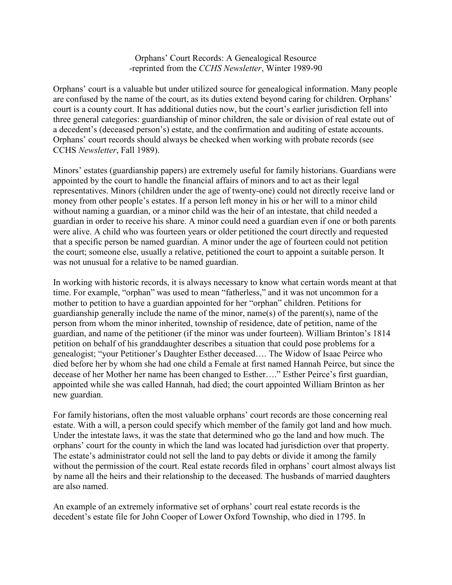Orphans' Court Records: A Genealogical Resource -reprinted from the *CCHS Newsletter*, Winter 1989-90

Orphans' court is a valuable but under utilized source for genealogical information. Many people are confused by the name of the court, as its duties extend beyond caring for children. Orphans' court is a county court. It has additional duties now, but the court's earlier jurisdiction fell into three general categories: guardianship of minor children, the sale or division of real estate out of a decedent's (deceased person's) estate, and the confirmation and auditing of estate accounts. Orphans' court records should always be checked when working with probate records (see CCHS *Newsletter*, Fall 1989).

Minors' estates (guardianship papers) are extremely useful for family historians. Guardians were appointed by the court to handle the financial affairs of minors and to act as their legal representatives. Minors (children under the age of twenty-one) could not directly receive land or money from other people's estates. If a person left money in his or her will to a minor child without naming a guardian, or a minor child was the heir of an intestate, that child needed a guardian in order to receive his share. A minor could need a guardian even if one or both parents were alive. A child who was fourteen years or older petitioned the court directly and requested that a specific person be named guardian. A minor under the age of fourteen could not petition the court; someone else, usually a relative, petitioned the court to appoint a suitable person. It was not unusual for a relative to be named guardian.

In working with historic records, it is always necessary to know what certain words meant at that time. For example, "orphan" was used to mean "fatherless," and it was not uncommon for a mother to petition to have a guardian appointed for her "orphan" children. Petitions for guardianship generally include the name of the minor, name(s) of the parent(s), name of the person from whom the minor inherited, township of residence, date of petition, name of the guardian, and name of the petitioner (if the minor was under fourteen). William Brinton's 1814 petition on behalf of his granddaughter describes a situation that could pose problems for a genealogist; "your Petitioner's Daughter Esther deceased…. The Widow of Isaac Peirce who died before her by whom she had one child a Female at first named Hannah Peirce, but since the decease of her Mother her name has been changed to Esther…." Esther Peirce's first guardian, appointed while she was called Hannah, had died; the court appointed William Brinton as her new guardian.

For family historians, often the most valuable orphans' court records are those concerning real estate. With a will, a person could specify which member of the family got land and how much. Under the intestate laws, it was the state that determined who go the land and how much. The orphans' court for the county in which the land was located had jurisdiction over that property. The estate's administrator could not sell the land to pay debts or divide it among the family without the permission of the court. Real estate records filed in orphans' court almost always list by name all the heirs and their relationship to the deceased. The husbands of married daughters are also named.

An example of an extremely informative set of orphans' court real estate records is the decedent's estate file for John Cooper of Lower Oxford Township, who died in 1795. In